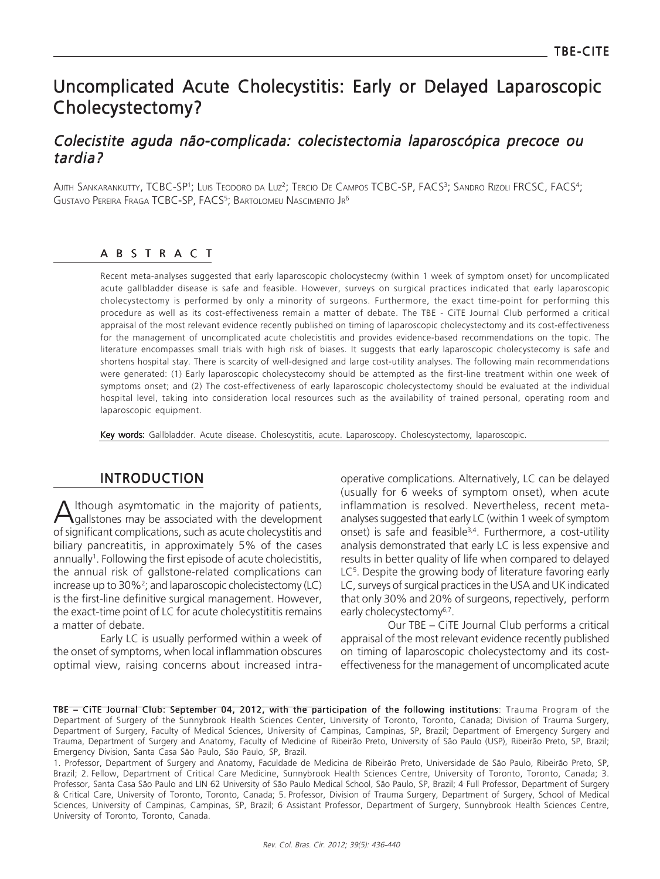# Uncomplicated Acute Cholecystitis: Early or Delayed Laparoscopic Cholecystectomy?

# Colecistite aguda não-complicada: colecistectomia laparoscópica precoce ou tardia?

Ajith Sankarankutty, TCBC-SP1; Luis Teodoro da Luz<sup>2</sup>; Tercio De Campos TCBC-SP, FACS<sup>3</sup>; Sandro Rizoli FRCSC, FACS<sup>4</sup>; GUSTAVO PEREIRA FRAGA TCBC-SP, FACS<sup>5</sup>; Bartolomeu Nascimento Jr<sup>6</sup>

#### ABSTRACT

Recent meta-analyses suggested that early laparoscopic cholocystecmy (within 1 week of symptom onset) for uncomplicated acute gallbladder disease is safe and feasible. However, surveys on surgical practices indicated that early laparoscopic cholecystectomy is performed by only a minority of surgeons. Furthermore, the exact time-point for performing this procedure as well as its cost-effectiveness remain a matter of debate. The TBE - CiTE Journal Club performed a critical appraisal of the most relevant evidence recently published on timing of laparoscopic cholecystectomy and its cost-effectiveness for the management of uncomplicated acute cholecistitis and provides evidence-based recommendations on the topic. The literature encompasses small trials with high risk of biases. It suggests that early laparoscopic cholecystecomy is safe and shortens hospital stay. There is scarcity of well-designed and large cost-utility analyses. The following main recommendations were generated: (1) Early laparoscopic cholecystecomy should be attempted as the first-line treatment within one week of symptoms onset; and (2) The cost-effectiveness of early laparoscopic cholecystectomy should be evaluated at the individual hospital level, taking into consideration local resources such as the availability of trained personal, operating room and laparoscopic equipment.

Key words: Gallbladder. Acute disease. Cholescystitis, acute. Laparoscopy. Cholescystectomy, laparoscopic.

## INTRODUCTION

Although asymtomatic in the majority of patients,<br> **A** gallstones may be associated with the development lthough asymtomatic in the majority of patients, of significant complications, such as acute cholecystitis and biliary pancreatitis, in approximately 5% of the cases annually<sup>1</sup>. Following the first episode of acute cholecistitis, the annual risk of gallstone-related complications can increase up to 30%<sup>2</sup> ; and laparoscopic cholecistectomy (LC) is the first-line definitive surgical management. However, the exact-time point of LC for acute cholecystititis remains a matter of debate.

Early LC is usually performed within a week of the onset of symptoms, when local inflammation obscures optimal view, raising concerns about increased intraoperative complications. Alternatively, LC can be delayed (usually for 6 weeks of symptom onset), when acute inflammation is resolved. Nevertheless, recent metaanalyses suggested that early LC (within 1 week of symptom onset) is safe and feasible<sup>3,4</sup>. Furthermore, a cost-utility analysis demonstrated that early LC is less expensive and results in better quality of life when compared to delayed LC<sup>5</sup>. Despite the growing body of literature favoring early LC, surveys of surgical practices in the USA and UK indicated that only 30% and 20% of surgeons, repectively, perform early cholecystectomy<sup>6,7</sup>.

Our TBE – CiTE Journal Club performs a critical appraisal of the most relevant evidence recently published on timing of laparoscopic cholecystectomy and its costeffectiveness for the management of uncomplicated acute

TBE – CiTE Journal Club: September 04, 2012, with the participation of the following institutions: Trauma Program of the Department of Surgery of the Sunnybrook Health Sciences Center, University of Toronto, Toronto, Canada; Division of Trauma Surgery, Department of Surgery, Faculty of Medical Sciences, University of Campinas, Campinas, SP, Brazil; Department of Emergency Surgery and Trauma, Department of Surgery and Anatomy, Faculty of Medicine of Ribeirão Preto, University of São Paulo (USP), Ribeirão Preto, SP, Brazil; Emergency Division, Santa Casa São Paulo, São Paulo, SP, Brazil.

1. Professor, Department of Surgery and Anatomy, Faculdade de Medicina de Ribeirão Preto, Universidade de São Paulo, Ribeirão Preto, SP, Brazil; 2. Fellow, Department of Critical Care Medicine, Sunnybrook Health Sciences Centre, University of Toronto, Toronto, Canada; 3. Professor, Santa Casa São Paulo and LIN 62 University of São Paulo Medical School, São Paulo, SP, Brazil; 4. Full Professor, Department of Surgery & Critical Care, University of Toronto, Toronto, Canada; 5. Professor, Division of Trauma Surgery, Department of Surgery, School of Medical Sciences, University of Campinas, Campinas, SP, Brazil; 6. Assistant Professor, Department of Surgery, Sunnybrook Health Sciences Centre, University of Toronto, Toronto, Canada.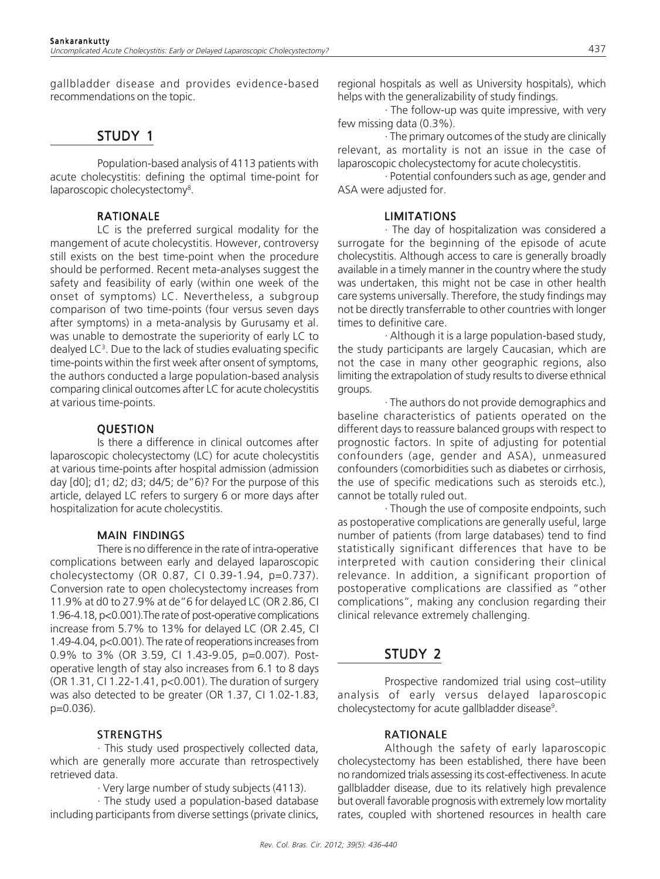gallbladder disease and provides evidence-based recommendations on the topic.

## STUDY 1

Population-based analysis of 4113 patients with acute cholecystitis: defining the optimal time-point for laparoscopic cholecystectomy<sup>8</sup>.

#### RATIONALE

LC is the preferred surgical modality for the mangement of acute cholecystitis. However, controversy still exists on the best time-point when the procedure should be performed. Recent meta-analyses suggest the safety and feasibility of early (within one week of the onset of symptoms) LC. Nevertheless, a subgroup comparison of two time-points (four versus seven days after symptoms) in a meta-analysis by Gurusamy et al. was unable to demostrate the superiority of early LC to dealyed LC<sup>3</sup>. Due to the lack of studies evaluating specific time-points within the first week after onsent of symptoms, the authors conducted a large population-based analysis comparing clinical outcomes after LC for acute cholecystitis at various time-points.

#### QUESTION

Is there a difference in clinical outcomes after laparoscopic cholecystectomy (LC) for acute cholecystitis at various time-points after hospital admission (admission day [d0]; d1; d2; d3; d4/5; de"6)? For the purpose of this article, delayed LC refers to surgery 6 or more days after hospitalization for acute cholecystitis.

#### MAIN FINDINGS

There is no difference in the rate of intra-operative complications between early and delayed laparoscopic cholecystectomy (OR 0.87, CI 0.39-1.94, p=0.737). Conversion rate to open cholecystectomy increases from 11.9% at d0 to 27.9% at de"6 for delayed LC (OR 2.86, CI 1.96-4.18, p<0.001).The rate of post-operative complications increase from 5.7% to 13% for delayed LC (OR 2.45, CI 1.49-4.04, p<0.001). The rate of reoperations increases from 0.9% to 3% (OR 3.59, CI 1.43-9.05, p=0.007). Postoperative length of stay also increases from 6.1 to 8 days (OR 1.31, CI 1.22-1.41, p<0.001). The duration of surgery was also detected to be greater (OR 1.37, CI 1.02-1.83, p=0.036).

#### **STRENGTHS**

· This study used prospectively collected data, which are generally more accurate than retrospectively retrieved data.

· Very large number of study subjects (4113).

· The study used a population-based database including participants from diverse settings (private clinics,

regional hospitals as well as University hospitals), which helps with the generalizability of study findings.

· The follow-up was quite impressive, with very few missing data (0.3%).

· The primary outcomes of the study are clinically relevant, as mortality is not an issue in the case of laparoscopic cholecystectomy for acute cholecystitis.

· Potential confounders such as age, gender and ASA were adjusted for.

#### LIMITATIONS

· The day of hospitalization was considered a surrogate for the beginning of the episode of acute cholecystitis. Although access to care is generally broadly available in a timely manner in the country where the study was undertaken, this might not be case in other health care systems universally. Therefore, the study findings may not be directly transferrable to other countries with longer times to definitive care.

· Although it is a large population-based study, the study participants are largely Caucasian, which are not the case in many other geographic regions, also limiting the extrapolation of study results to diverse ethnical groups.

· The authors do not provide demographics and baseline characteristics of patients operated on the different days to reassure balanced groups with respect to prognostic factors. In spite of adjusting for potential confounders (age, gender and ASA), unmeasured confounders (comorbidities such as diabetes or cirrhosis, the use of specific medications such as steroids etc.), cannot be totally ruled out.

· Though the use of composite endpoints, such as postoperative complications are generally useful, large number of patients (from large databases) tend to find statistically significant differences that have to be interpreted with caution considering their clinical relevance. In addition, a significant proportion of postoperative complications are classified as "other complications", making any conclusion regarding their clinical relevance extremely challenging.

## STUDY 2

Prospective randomized trial using cost–utility analysis of early versus delayed laparoscopic cholecystectomy for acute gallbladder disease<sup>9</sup>.

#### RATIONALE

Although the safety of early laparoscopic cholecystectomy has been established, there have been no randomized trials assessing its cost-effectiveness. In acute gallbladder disease, due to its relatively high prevalence but overall favorable prognosis with extremely low mortality rates, coupled with shortened resources in health care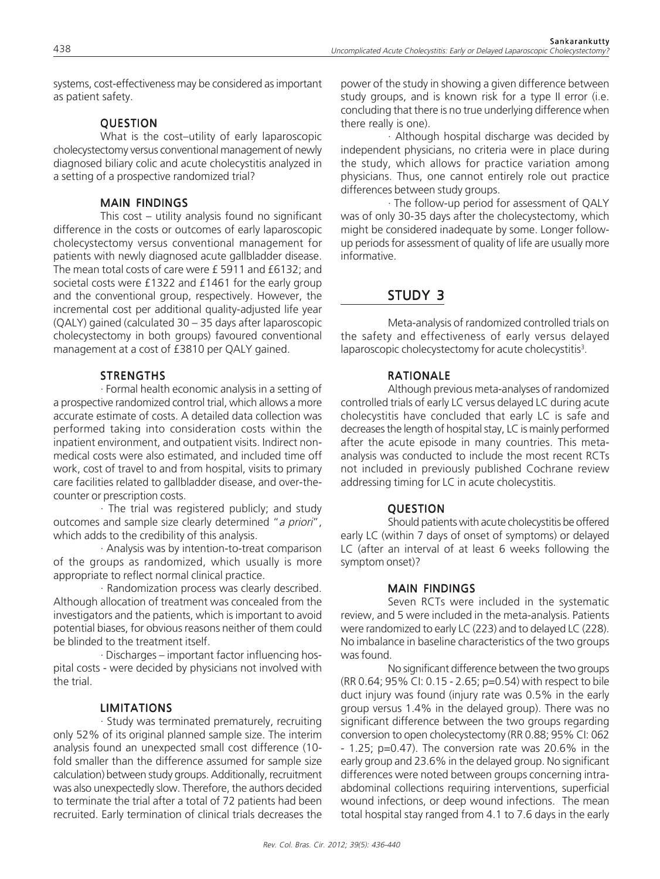systems, cost-effectiveness may be considered as important as patient safety.

#### **OUESTION**

What is the cost–utility of early laparoscopic cholecystectomy versus conventional management of newly diagnosed biliary colic and acute cholecystitis analyzed in a setting of a prospective randomized trial?

#### MAIN FINDINGS

This cost – utility analysis found no significant difference in the costs or outcomes of early laparoscopic cholecystectomy versus conventional management for patients with newly diagnosed acute gallbladder disease. The mean total costs of care were £ 5911 and £6132; and societal costs were £1322 and £1461 for the early group and the conventional group, respectively. However, the incremental cost per additional quality-adjusted life year (QALY) gained (calculated 30 – 35 days after laparoscopic cholecystectomy in both groups) favoured conventional management at a cost of £3810 per QALY gained.

## **STRENGTHS**

· Formal health economic analysis in a setting of a prospective randomized control trial, which allows a more accurate estimate of costs. A detailed data collection was performed taking into consideration costs within the inpatient environment, and outpatient visits. Indirect nonmedical costs were also estimated, and included time off work, cost of travel to and from hospital, visits to primary care facilities related to gallbladder disease, and over-thecounter or prescription costs.

· The trial was registered publicly; and study outcomes and sample size clearly determined "a priori", which adds to the credibility of this analysis.

· Analysis was by intention-to-treat comparison of the groups as randomized, which usually is more appropriate to reflect normal clinical practice.

· Randomization process was clearly described. Although allocation of treatment was concealed from the investigators and the patients, which is important to avoid potential biases, for obvious reasons neither of them could be blinded to the treatment itself.

· Discharges – important factor influencing hospital costs - were decided by physicians not involved with the trial.

#### LIMITATIONS

· Study was terminated prematurely, recruiting only 52% of its original planned sample size. The interim analysis found an unexpected small cost difference (10 fold smaller than the difference assumed for sample size calculation) between study groups. Additionally, recruitment was also unexpectedly slow. Therefore, the authors decided to terminate the trial after a total of 72 patients had been recruited. Early termination of clinical trials decreases the

power of the study in showing a given difference between study groups, and is known risk for a type II error (i.e. concluding that there is no true underlying difference when there really is one).

· Although hospital discharge was decided by independent physicians, no criteria were in place during the study, which allows for practice variation among physicians. Thus, one cannot entirely role out practice differences between study groups.

· The follow-up period for assessment of QALY was of only 30-35 days after the cholecystectomy, which might be considered inadequate by some. Longer followup periods for assessment of quality of life are usually more informative.

# STUDY 3

Meta-analysis of randomized controlled trials on the safety and effectiveness of early versus delayed laparoscopic cholecystectomy for acute cholecystitis<sup>3</sup>.

## RATIONALE

Although previous meta-analyses of randomized controlled trials of early LC versus delayed LC during acute cholecystitis have concluded that early LC is safe and decreases the length of hospital stay, LC is mainly performed after the acute episode in many countries. This metaanalysis was conducted to include the most recent RCTs not included in previously published Cochrane review addressing timing for LC in acute cholecystitis.

#### QUESTION

Should patients with acute cholecystitis be offered early LC (within 7 days of onset of symptoms) or delayed LC (after an interval of at least 6 weeks following the symptom onset)?

#### MAIN FINDINGS

Seven RCTs were included in the systematic review, and 5 were included in the meta-analysis. Patients were randomized to early LC (223) and to delayed LC (228). No imbalance in baseline characteristics of the two groups was found.

No significant difference between the two groups (RR 0.64; 95% CI: 0.15 - 2.65; p=0.54) with respect to bile duct injury was found (injury rate was 0.5% in the early group versus 1.4% in the delayed group). There was no significant difference between the two groups regarding conversion to open cholecystectomy (RR 0.88; 95% CI: 062 - 1.25; p=0.47). The conversion rate was 20.6% in the early group and 23.6% in the delayed group. No significant differences were noted between groups concerning intraabdominal collections requiring interventions, superficial wound infections, or deep wound infections. The mean total hospital stay ranged from 4.1 to 7.6 days in the early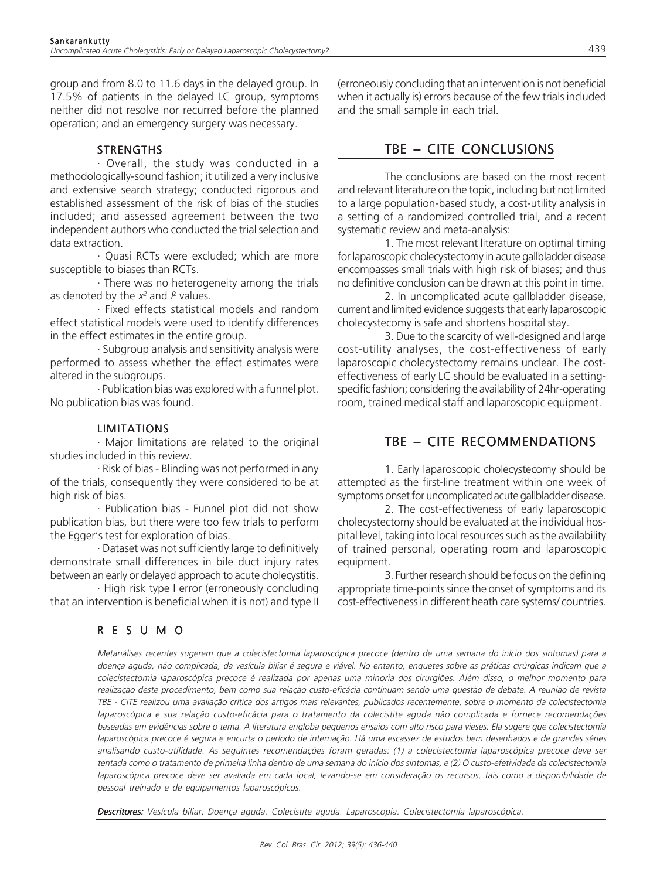group and from 8.0 to 11.6 days in the delayed group. In 17.5% of patients in the delayed LC group, symptoms neither did not resolve nor recurred before the planned operation; and an emergency surgery was necessary.

#### **STRENGTHS**

· Overall, the study was conducted in a methodologically-sound fashion; it utilized a very inclusive and extensive search strategy; conducted rigorous and established assessment of the risk of bias of the studies included; and assessed agreement between the two independent authors who conducted the trial selection and data extraction.

· Quasi RCTs were excluded; which are more susceptible to biases than RCTs.

· There was no heterogeneity among the trials as denoted by the  $x^2$  and  $\ell$  values.

· Fixed effects statistical models and random effect statistical models were used to identify differences in the effect estimates in the entire group.

· Subgroup analysis and sensitivity analysis were performed to assess whether the effect estimates were altered in the subgroups.

· Publication bias was explored with a funnel plot. No publication bias was found.

#### LIMITATIONS

· Major limitations are related to the original studies included in this review.

· Risk of bias - Blinding was not performed in any of the trials, consequently they were considered to be at high risk of bias.

· Publication bias - Funnel plot did not show publication bias, but there were too few trials to perform the Egger's test for exploration of bias.

· Dataset was not sufficiently large to definitively demonstrate small differences in bile duct injury rates between an early or delayed approach to acute cholecystitis.

· High risk type I error (erroneously concluding that an intervention is beneficial when it is not) and type II

## RESUMO

(erroneously concluding that an intervention is not beneficial when it actually is) errors because of the few trials included and the small sample in each trial.

## TBE – CITE CONCLUSIONS

The conclusions are based on the most recent and relevant literature on the topic, including but not limited to a large population-based study, a cost-utility analysis in a setting of a randomized controlled trial, and a recent systematic review and meta-analysis:

1. The most relevant literature on optimal timing for laparoscopic cholecystectomy in acute gallbladder disease encompasses small trials with high risk of biases; and thus no definitive conclusion can be drawn at this point in time.

2. In uncomplicated acute gallbladder disease, current and limited evidence suggests that early laparoscopic cholecystecomy is safe and shortens hospital stay.

3. Due to the scarcity of well-designed and large cost-utility analyses, the cost-effectiveness of early laparoscopic cholecystectomy remains unclear. The costeffectiveness of early LC should be evaluated in a settingspecific fashion; considering the availability of 24hr-operating room, trained medical staff and laparoscopic equipment.

## TBE – CITE RECOMMENDATIONS

1. Early laparoscopic cholecystecomy should be attempted as the first-line treatment within one week of symptoms onset for uncomplicated acute gallbladder disease.

2. The cost-effectiveness of early laparoscopic cholecystectomy should be evaluated at the individual hospital level, taking into local resources such as the availability of trained personal, operating room and laparoscopic equipment.

3. Further research should be focus on the defining appropriate time-points since the onset of symptoms and its cost-effectiveness in different heath care systems/ countries.

Metanálises recentes sugerem que a colecistectomia laparoscópica precoce (dentro de uma semana do início dos sintomas) para a doença aguda, não complicada, da vesícula biliar é segura e viável. No entanto, enquetes sobre as práticas cirúrgicas indicam que a colecistectomia laparoscópica precoce é realizada por apenas uma minoria dos cirurgiões. Além disso, o melhor momento para realização deste procedimento, bem como sua relação custo-eficácia continuam sendo uma questão de debate. A reunião de revista TBE - CiTE realizou uma avaliação crítica dos artigos mais relevantes, publicados recentemente, sobre o momento da colecistectomia laparoscópica e sua relação custo-eficácia para o tratamento da colecistite aguda não complicada e fornece recomendações baseadas em evidências sobre o tema. A literatura engloba pequenos ensaios com alto risco para vieses. Ela sugere que colecistectomia laparoscópica precoce é segura e encurta o período de internação. Há uma escassez de estudos bem desenhados e de grandes séries analisando custo-utilidade. As seguintes recomendações foram geradas: (1) a colecistectomia laparoscópica precoce deve ser tentada como o tratamento de primeira linha dentro de uma semana do início dos sintomas, e (2) O custo-efetividade da colecistectomia laparoscópica precoce deve ser avaliada em cada local, levando-se em consideração os recursos, tais como a disponibilidade de pessoal treinado e de equipamentos laparoscópicos.

Descritores: Vesícula biliar. Doença aguda. Colecistite aguda. Laparoscopia. Colecistectomia laparoscópica.